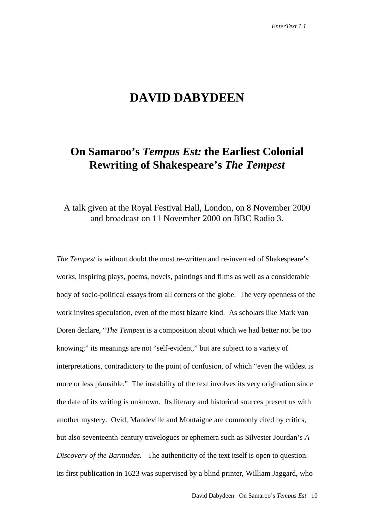# **DAVID DABYDEEN**

# **On Samaroo's** *Tempus Est:* **the Earliest Colonial Rewriting of Shakespeare's** *The Tempest*

### A talk given at the Royal Festival Hall, London, on 8 November 2000 and broadcast on 11 November 2000 on BBC Radio 3.

*The Tempest* is without doubt the most re-written and re-invented of Shakespeare's works, inspiring plays, poems, novels, paintings and films as well as a considerable body of socio-political essays from all corners of the globe. The very openness of the work invites speculation, even of the most bizarre kind. As scholars like Mark van Doren declare, "*The Tempest* is a composition about which we had better not be too knowing;" its meanings are not "self-evident," but are subject to a variety of interpretations, contradictory to the point of confusion, of which "even the wildest is more or less plausible." The instability of the text involves its very origination since the date of its writing is unknown. Its literary and historical sources present us with another mystery. Ovid, Mandeville and Montaigne are commonly cited by critics, but also seventeenth-century travelogues or ephemera such as Silvester Jourdan's *A Discovery of the Barmudas.* The authenticity of the text itself is open to question. Its first publication in 1623 was supervised by a blind printer, William Jaggard, who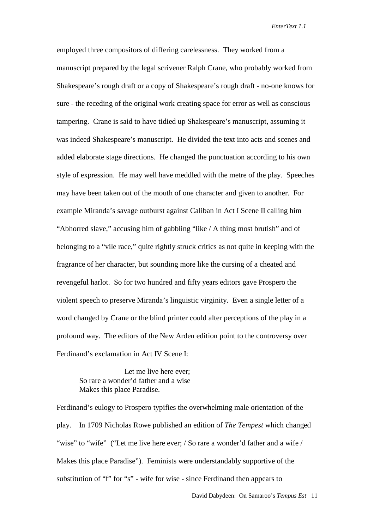employed three compositors of differing carelessness. They worked from a manuscript prepared by the legal scrivener Ralph Crane, who probably worked from Shakespeare's rough draft or a copy of Shakespeare's rough draft - no-one knows for sure - the receding of the original work creating space for error as well as conscious tampering. Crane is said to have tidied up Shakespeare's manuscript, assuming it was indeed Shakespeare's manuscript. He divided the text into acts and scenes and added elaborate stage directions. He changed the punctuation according to his own style of expression. He may well have meddled with the metre of the play. Speeches may have been taken out of the mouth of one character and given to another. For example Miranda's savage outburst against Caliban in Act I Scene II calling him "Abhorred slave," accusing him of gabbling "like / A thing most brutish" and of belonging to a "vile race," quite rightly struck critics as not quite in keeping with the fragrance of her character, but sounding more like the cursing of a cheated and revengeful harlot. So for two hundred and fifty years editors gave Prospero the violent speech to preserve Miranda's linguistic virginity. Even a single letter of a word changed by Crane or the blind printer could alter perceptions of the play in a profound way. The editors of the New Arden edition point to the controversy over Ferdinand's exclamation in Act IV Scene I:

Let me live here ever; So rare a wonder'd father and a wise Makes this place Paradise.

Ferdinand's eulogy to Prospero typifies the overwhelming male orientation of the play. In 1709 Nicholas Rowe published an edition of *The Tempest* which changed "wise" to "wife" ("Let me live here ever; / So rare a wonder'd father and a wife / Makes this place Paradise"). Feminists were understandably supportive of the substitution of "f" for "s" - wife for wise - since Ferdinand then appears to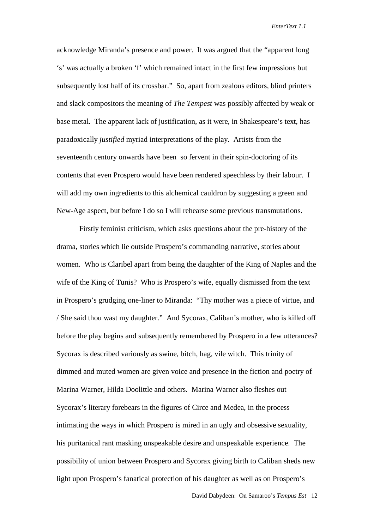acknowledge Miranda's presence and power. It was argued that the "apparent long 's' was actually a broken 'f' which remained intact in the first few impressions but subsequently lost half of its crossbar." So, apart from zealous editors, blind printers and slack compositors the meaning of *The Tempest* was possibly affected by weak or base metal. The apparent lack of justification, as it were, in Shakespeare's text, has paradoxically *justified* myriad interpretations of the play. Artists from the seventeenth century onwards have been so fervent in their spin-doctoring of its contents that even Prospero would have been rendered speechless by their labour. I will add my own ingredients to this alchemical cauldron by suggesting a green and New-Age aspect, but before I do so I will rehearse some previous transmutations.

Firstly feminist criticism, which asks questions about the pre-history of the drama, stories which lie outside Prospero's commanding narrative, stories about women. Who is Claribel apart from being the daughter of the King of Naples and the wife of the King of Tunis? Who is Prospero's wife, equally dismissed from the text in Prospero's grudging one-liner to Miranda: "Thy mother was a piece of virtue, and / She said thou wast my daughter." And Sycorax, Caliban's mother, who is killed off before the play begins and subsequently remembered by Prospero in a few utterances? Sycorax is described variously as swine, bitch, hag, vile witch. This trinity of dimmed and muted women are given voice and presence in the fiction and poetry of Marina Warner, Hilda Doolittle and others. Marina Warner also fleshes out Sycorax's literary forebears in the figures of Circe and Medea, in the process intimating the ways in which Prospero is mired in an ugly and obsessive sexuality, his puritanical rant masking unspeakable desire and unspeakable experience. The possibility of union between Prospero and Sycorax giving birth to Caliban sheds new light upon Prospero's fanatical protection of his daughter as well as on Prospero's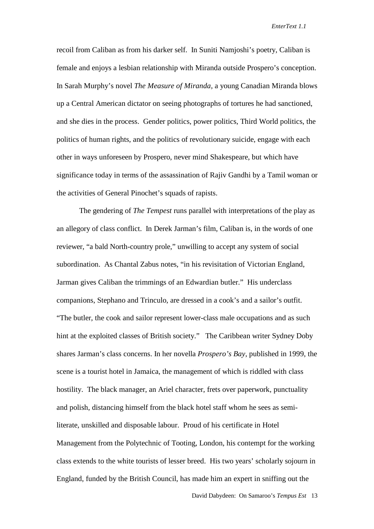recoil from Caliban as from his darker self. In Suniti Namjoshi's poetry, Caliban is female and enjoys a lesbian relationship with Miranda outside Prospero's conception. In Sarah Murphy's novel *The Measure of Miranda,* a young Canadian Miranda blows up a Central American dictator on seeing photographs of tortures he had sanctioned, and she dies in the process. Gender politics, power politics, Third World politics, the politics of human rights, and the politics of revolutionary suicide, engage with each other in ways unforeseen by Prospero, never mind Shakespeare, but which have significance today in terms of the assassination of Rajiv Gandhi by a Tamil woman or the activities of General Pinochet's squads of rapists.

The gendering of *The Tempest* runs parallel with interpretations of the play as an allegory of class conflict. In Derek Jarman's film, Caliban is, in the words of one reviewer, "a bald North-country prole," unwilling to accept any system of social subordination. As Chantal Zabus notes, "in his revisitation of Victorian England, Jarman gives Caliban the trimmings of an Edwardian butler." His underclass companions, Stephano and Trinculo, are dressed in a cook's and a sailor's outfit. "The butler, the cook and sailor represent lower-class male occupations and as such hint at the exploited classes of British society." The Caribbean writer Sydney Doby shares Jarman's class concerns. In her novella *Prospero's Bay*, published in 1999, the scene is a tourist hotel in Jamaica, the management of which is riddled with class hostility. The black manager, an Ariel character, frets over paperwork, punctuality and polish, distancing himself from the black hotel staff whom he sees as semiliterate, unskilled and disposable labour. Proud of his certificate in Hotel Management from the Polytechnic of Tooting, London, his contempt for the working class extends to the white tourists of lesser breed. His two years' scholarly sojourn in England, funded by the British Council, has made him an expert in sniffing out the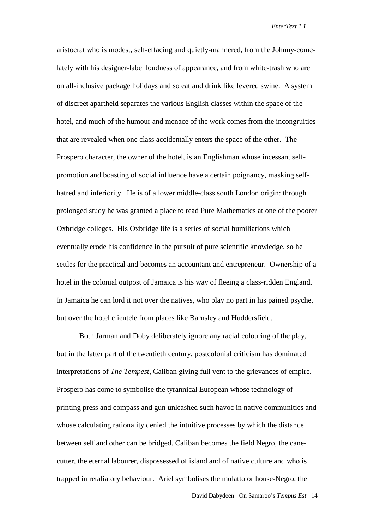aristocrat who is modest, self-effacing and quietly-mannered, from the Johnny-comelately with his designer-label loudness of appearance, and from white-trash who are on all-inclusive package holidays and so eat and drink like fevered swine. A system of discreet apartheid separates the various English classes within the space of the hotel, and much of the humour and menace of the work comes from the incongruities that are revealed when one class accidentally enters the space of the other. The Prospero character, the owner of the hotel, is an Englishman whose incessant selfpromotion and boasting of social influence have a certain poignancy, masking selfhatred and inferiority. He is of a lower middle-class south London origin: through prolonged study he was granted a place to read Pure Mathematics at one of the poorer Oxbridge colleges. His Oxbridge life is a series of social humiliations which eventually erode his confidence in the pursuit of pure scientific knowledge, so he settles for the practical and becomes an accountant and entrepreneur. Ownership of a hotel in the colonial outpost of Jamaica is his way of fleeing a class-ridden England. In Jamaica he can lord it not over the natives, who play no part in his pained psyche, but over the hotel clientele from places like Barnsley and Huddersfield.

Both Jarman and Doby deliberately ignore any racial colouring of the play, but in the latter part of the twentieth century, postcolonial criticism has dominated interpretations of *The Tempest*, Caliban giving full vent to the grievances of empire. Prospero has come to symbolise the tyrannical European whose technology of printing press and compass and gun unleashed such havoc in native communities and whose calculating rationality denied the intuitive processes by which the distance between self and other can be bridged. Caliban becomes the field Negro, the canecutter, the eternal labourer, dispossessed of island and of native culture and who is trapped in retaliatory behaviour. Ariel symbolises the mulatto or house-Negro, the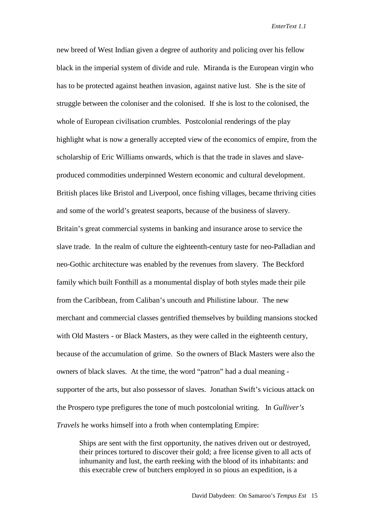new breed of West Indian given a degree of authority and policing over his fellow black in the imperial system of divide and rule. Miranda is the European virgin who has to be protected against heathen invasion, against native lust. She is the site of struggle between the coloniser and the colonised. If she is lost to the colonised, the whole of European civilisation crumbles. Postcolonial renderings of the play highlight what is now a generally accepted view of the economics of empire, from the scholarship of Eric Williams onwards, which is that the trade in slaves and slaveproduced commodities underpinned Western economic and cultural development. British places like Bristol and Liverpool, once fishing villages, became thriving cities and some of the world's greatest seaports, because of the business of slavery. Britain's great commercial systems in banking and insurance arose to service the slave trade. In the realm of culture the eighteenth-century taste for neo-Palladian and neo-Gothic architecture was enabled by the revenues from slavery. The Beckford family which built Fonthill as a monumental display of both styles made their pile from the Caribbean, from Caliban's uncouth and Philistine labour. The new merchant and commercial classes gentrified themselves by building mansions stocked with Old Masters - or Black Masters, as they were called in the eighteenth century, because of the accumulation of grime. So the owners of Black Masters were also the owners of black slaves. At the time, the word "patron" had a dual meaning supporter of the arts, but also possessor of slaves. Jonathan Swift's vicious attack on the Prospero type prefigures the tone of much postcolonial writing. In *Gulliver's Travels* he works himself into a froth when contemplating Empire:

Ships are sent with the first opportunity, the natives driven out or destroyed, their princes tortured to discover their gold; a free license given to all acts of inhumanity and lust, the earth reeking with the blood of its inhabitants: and this execrable crew of butchers employed in so pious an expedition, is a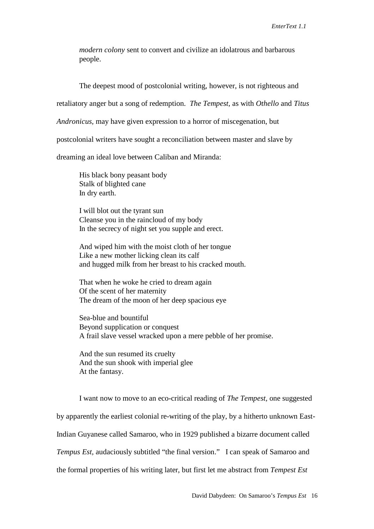*modern colony* sent to convert and civilize an idolatrous and barbarous people.

The deepest mood of postcolonial writing, however, is not righteous and

retaliatory anger but a song of redemption. *The Tempest,* as with *Othello* and *Titus*

*Andronicus,* may have given expression to a horror of miscegenation, but

postcolonial writers have sought a reconciliation between master and slave by

dreaming an ideal love between Caliban and Miranda:

His black bony peasant body Stalk of blighted cane In dry earth.

I will blot out the tyrant sun Cleanse you in the raincloud of my body In the secrecy of night set you supple and erect.

And wiped him with the moist cloth of her tongue Like a new mother licking clean its calf and hugged milk from her breast to his cracked mouth.

That when he woke he cried to dream again Of the scent of her maternity The dream of the moon of her deep spacious eye

Sea-blue and bountiful Beyond supplication or conquest A frail slave vessel wracked upon a mere pebble of her promise.

And the sun resumed its cruelty And the sun shook with imperial glee At the fantasy.

I want now to move to an eco-critical reading of *The Tempest,* one suggested by apparently the earliest colonial re-writing of the play, by a hitherto unknown East-Indian Guyanese called Samaroo, who in 1929 published a bizarre document called *Tempus Est,* audaciously subtitled "the final version." I can speak of Samaroo and the formal properties of his writing later, but first let me abstract from *Tempest Est*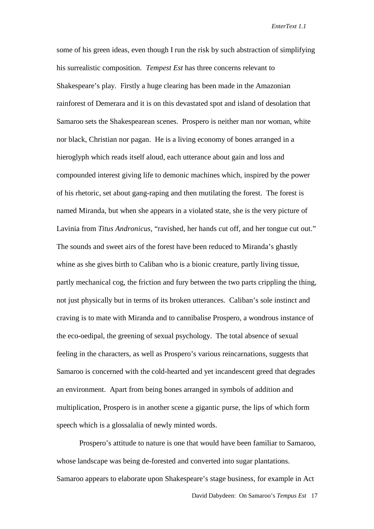some of his green ideas, even though I run the risk by such abstraction of simplifying his surrealistic composition. *Tempest Est* has three concerns relevant to Shakespeare's play. Firstly a huge clearing has been made in the Amazonian rainforest of Demerara and it is on this devastated spot and island of desolation that Samaroo sets the Shakespearean scenes. Prospero is neither man nor woman, white nor black, Christian nor pagan. He is a living economy of bones arranged in a hieroglyph which reads itself aloud, each utterance about gain and loss and compounded interest giving life to demonic machines which, inspired by the power of his rhetoric, set about gang-raping and then mutilating the forest. The forest is named Miranda, but when she appears in a violated state, she is the very picture of Lavinia from *Titus Andronicus*, "ravished, her hands cut off, and her tongue cut out." The sounds and sweet airs of the forest have been reduced to Miranda's ghastly whine as she gives birth to Caliban who is a bionic creature, partly living tissue, partly mechanical cog, the friction and fury between the two parts crippling the thing, not just physically but in terms of its broken utterances. Caliban's sole instinct and craving is to mate with Miranda and to cannibalise Prospero, a wondrous instance of the eco-oedipal, the greening of sexual psychology. The total absence of sexual feeling in the characters, as well as Prospero's various reincarnations, suggests that Samaroo is concerned with the cold-hearted and yet incandescent greed that degrades an environment. Apart from being bones arranged in symbols of addition and multiplication, Prospero is in another scene a gigantic purse, the lips of which form speech which is a glossalalia of newly minted words.

Prospero's attitude to nature is one that would have been familiar to Samaroo, whose landscape was being de-forested and converted into sugar plantations. Samaroo appears to elaborate upon Shakespeare's stage business, for example in Act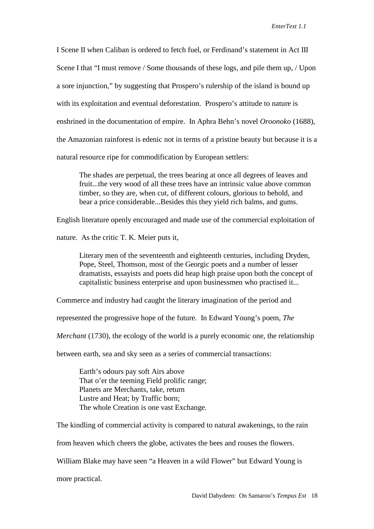I Scene II when Caliban is ordered to fetch fuel, or Ferdinand's statement in Act III Scene I that "I must remove / Some thousands of these logs, and pile them up, / Upon a sore injunction," by suggesting that Prospero's rulership of the island is bound up with its exploitation and eventual deforestation. Prospero's attitude to nature is enshrined in the documentation of empire. In Aphra Behn's novel *Oroonoko* (1688), the Amazonian rainforest is edenic not in terms of a pristine beauty but because it is a natural resource ripe for commodification by European settlers:

The shades are perpetual, the trees bearing at once all degrees of leaves and fruit...the very wood of all these trees have an intrinsic value above common timber, so they are, when cut, of different colours, glorious to behold, and bear a price considerable...Besides this they yield rich balms, and gums.

English literature openly encouraged and made use of the commercial exploitation of

nature. As the critic T. K. Meier puts it,

Literary men of the seventeenth and eighteenth centuries, including Dryden, Pope, Steel, Thomson, most of the Georgic poets and a number of lesser dramatists, essayists and poets did heap high praise upon both the concept of capitalistic business enterprise and upon businessmen who practised it...

Commerce and industry had caught the literary imagination of the period and

represented the progressive hope of the future. In Edward Young's poem, *The*

*Merchant* (1730), the ecology of the world is a purely economic one, the relationship

between earth, sea and sky seen as a series of commercial transactions:

Earth's odours pay soft Airs above That o'er the teeming Field prolific range; Planets are Merchants, take, return Lustre and Heat; by Traffic born; The whole Creation is one vast Exchange.

The kindling of commercial activity is compared to natural awakenings, to the rain from heaven which cheers the globe, activates the bees and rouses the flowers. William Blake may have seen "a Heaven in a wild Flower" but Edward Young is

more practical.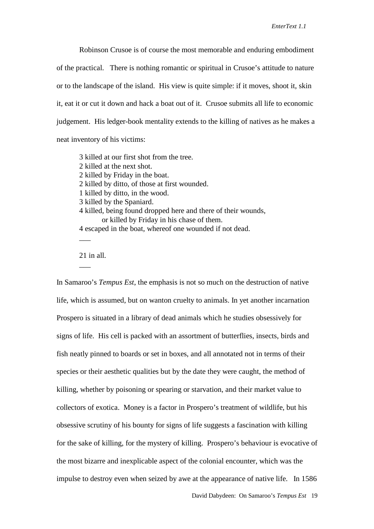Robinson Crusoe is of course the most memorable and enduring embodiment of the practical. There is nothing romantic or spiritual in Crusoe's attitude to nature or to the landscape of the island. His view is quite simple: if it moves, shoot it, skin it, eat it or cut it down and hack a boat out of it. Crusoe submits all life to economic judgement. His ledger-book mentality extends to the killing of natives as he makes a neat inventory of his victims:

3 killed at our first shot from the tree. 2 killed at the next shot. 2 killed by Friday in the boat. 2 killed by ditto, of those at first wounded. 1 killed by ditto, in the wood. 3 killed by the Spaniard. 4 killed, being found dropped here and there of their wounds, or killed by Friday in his chase of them. 4 escaped in the boat, whereof one wounded if not dead.  $\overline{\phantom{a}}$ 

21 in all.

 $\overline{\phantom{a}}$ 

In Samaroo's *Tempus Est*, the emphasis is not so much on the destruction of native life, which is assumed, but on wanton cruelty to animals. In yet another incarnation Prospero is situated in a library of dead animals which he studies obsessively for signs of life. His cell is packed with an assortment of butterflies, insects, birds and fish neatly pinned to boards or set in boxes, and all annotated not in terms of their species or their aesthetic qualities but by the date they were caught, the method of killing, whether by poisoning or spearing or starvation, and their market value to collectors of exotica. Money is a factor in Prospero's treatment of wildlife, but his obsessive scrutiny of his bounty for signs of life suggests a fascination with killing for the sake of killing, for the mystery of killing. Prospero's behaviour is evocative of the most bizarre and inexplicable aspect of the colonial encounter, which was the impulse to destroy even when seized by awe at the appearance of native life. In 1586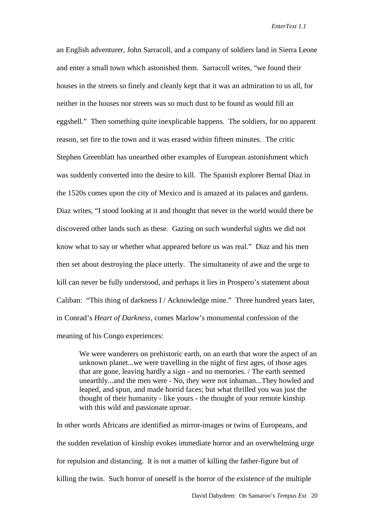an English adventurer, John Sarracoll, and a company of soldiers land in Sierra Leone and enter a small town which astonished them. Sarracoll writes, "we found their houses in the streets so finely and cleanly kept that it was an admiration to us all, for neither in the houses nor streets was so much dust to be found as would fill an eggshell." Then something quite inexplicable happens. The soldiers, for no apparent reason, set fire to the town and it was erased within fifteen minutes. The critic Stephen Greenblatt has unearthed other examples of European astonishment which was suddenly converted into the desire to kill. The Spanish explorer Bernal Diaz in the 1520s comes upon the city of Mexico and is amazed at its palaces and gardens. Diaz writes, "I stood looking at it and thought that never in the world would there be discovered other lands such as these. Gazing on such wonderful sights we did not know what to say or whether what appeared before us was real." Diaz and his men then set about destroying the place utterly. The simultaneity of awe and the urge to kill can never be fully understood, and perhaps it lies in Prospero's statement about Caliban: "This thing of darkness I / Acknowledge mine." Three hundred years later, in Conrad's *Heart of Darkness*, comes Marlow's monumental confession of the meaning of his Congo experiences:

We were wanderers on prehistoric earth, on an earth that wore the aspect of an unknown planet...we were travelling in the night of first ages, of those ages that are gone, leaving hardly a sign - and no memories. / The earth seemed unearthly...and the men were - No, they were not inhuman...They howled and leaped, and spun, and made horrid faces; but what thrilled you was just the thought of their humanity - like yours - the thought of your remote kinship with this wild and passionate uproar.

In other words Africans are identified as mirror-images or twins of Europeans, and the sudden revelation of kinship evokes immediate horror and an overwhelming urge for repulsion and distancing. It is not a matter of killing the father-figure but of killing the twin. Such horror of oneself is the horror of the existence of the multiple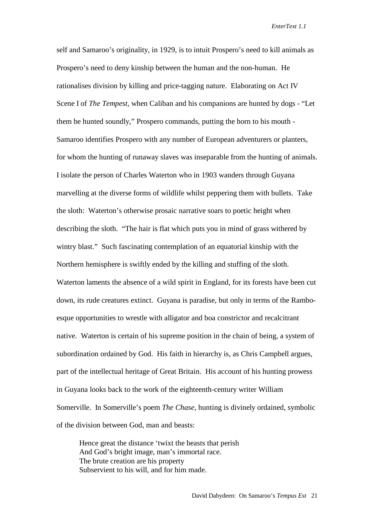self and Samaroo's originality, in 1929, is to intuit Prospero's need to kill animals as Prospero's need to deny kinship between the human and the non-human. He rationalises division by killing and price-tagging nature. Elaborating on Act IV Scene I of *The Tempest,* when Caliban and his companions are hunted by dogs - "Let them be hunted soundly," Prospero commands, putting the horn to his mouth - Samaroo identifies Prospero with any number of European adventurers or planters, for whom the hunting of runaway slaves was inseparable from the hunting of animals. I isolate the person of Charles Waterton who in 1903 wanders through Guyana marvelling at the diverse forms of wildlife whilst peppering them with bullets. Take the sloth: Waterton's otherwise prosaic narrative soars to poetic height when describing the sloth. "The hair is flat which puts you in mind of grass withered by wintry blast." Such fascinating contemplation of an equatorial kinship with the Northern hemisphere is swiftly ended by the killing and stuffing of the sloth. Waterton laments the absence of a wild spirit in England, for its forests have been cut down, its rude creatures extinct. Guyana is paradise, but only in terms of the Ramboesque opportunities to wrestle with alligator and boa constrictor and recalcitrant native. Waterton is certain of his supreme position in the chain of being, a system of subordination ordained by God. His faith in hierarchy is, as Chris Campbell argues, part of the intellectual heritage of Great Britain. His account of his hunting prowess in Guyana looks back to the work of the eighteenth-century writer William Somerville. In Somerville's poem *The Chase,* hunting is divinely ordained, symbolic of the division between God, man and beasts:

Hence great the distance 'twixt the beasts that perish And God's bright image, man's immortal race. The brute creation are his property Subservient to his will, and for him made.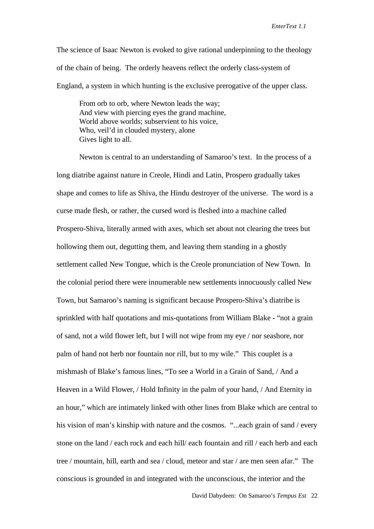The science of Isaac Newton is evoked to give rational underpinning to the theology of the chain of being. The orderly heavens reflect the orderly class-system of England, a system in which hunting is the exclusive prerogative of the upper class.

From orb to orb, where Newton leads the way; And view with piercing eyes the grand machine, World above worlds; subservient to his voice, Who, veil'd in clouded mystery, alone Gives light to all.

Newton is central to an understanding of Samaroo's text. In the process of a long diatribe against nature in Creole, Hindi and Latin, Prospero gradually takes shape and comes to life as Shiva, the Hindu destroyer of the universe. The word is a curse made flesh, or rather, the cursed word is fleshed into a machine called Prospero-Shiva, literally armed with axes, which set about not clearing the trees but hollowing them out, degutting them, and leaving them standing in a ghostly settlement called New Tongue, which is the Creole pronunciation of New Town. In the colonial period there were innumerable new settlements innocuously called New Town, but Samaroo's naming is significant because Prospero-Shiva's diatribe is sprinkled with half quotations and mis-quotations from William Blake - "not a grain of sand, not a wild flower left, but I will not wipe from my eye / nor seashore, nor palm of hand not herb nor fountain nor rill, but to my wile." This couplet is a mishmash of Blake's famous lines, "To see a World in a Grain of Sand, / And a Heaven in a Wild Flower, / Hold Infinity in the palm of your hand, / And Eternity in an hour," which are intimately linked with other lines from Blake which are central to his vision of man's kinship with nature and the cosmos. "...each grain of sand / every stone on the land / each rock and each hill/ each fountain and rill / each herb and each tree / mountain, hill, earth and sea / cloud, meteor and star / are men seen afar." The conscious is grounded in and integrated with the unconscious, the interior and the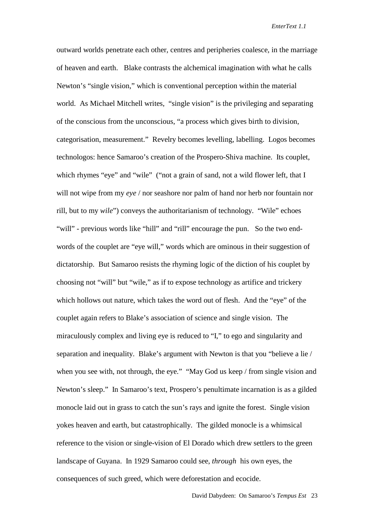outward worlds penetrate each other, centres and peripheries coalesce, in the marriage of heaven and earth. Blake contrasts the alchemical imagination with what he calls Newton's "single vision," which is conventional perception within the material world. As Michael Mitchell writes, "single vision" is the privileging and separating of the conscious from the unconscious, "a process which gives birth to division, categorisation, measurement." Revelry becomes levelling, labelling. Logos becomes technologos: hence Samaroo's creation of the Prospero-Shiva machine. Its couplet, which rhymes "eye" and "wile" ("not a grain of sand, not a wild flower left, that I will not wipe from my *eye* / nor seashore nor palm of hand nor herb nor fountain nor rill, but to my *wile*") conveys the authoritarianism of technology. "Wile" echoes "will" - previous words like "hill" and "rill" encourage the pun. So the two endwords of the couplet are "eye will," words which are ominous in their suggestion of dictatorship. But Samaroo resists the rhyming logic of the diction of his couplet by choosing not "will" but "wile," as if to expose technology as artifice and trickery which hollows out nature, which takes the word out of flesh. And the "eye" of the couplet again refers to Blake's association of science and single vision. The miraculously complex and living eye is reduced to "I," to ego and singularity and separation and inequality. Blake's argument with Newton is that you "believe a lie / when you see with, not through, the eye." "May God us keep / from single vision and Newton's sleep." In Samaroo's text, Prospero's penultimate incarnation is as a gilded monocle laid out in grass to catch the sun's rays and ignite the forest. Single vision yokes heaven and earth, but catastrophically. The gilded monocle is a whimsical reference to the vision or single-vision of El Dorado which drew settlers to the green landscape of Guyana. In 1929 Samaroo could see, *through* his own eyes, the consequences of such greed, which were deforestation and ecocide.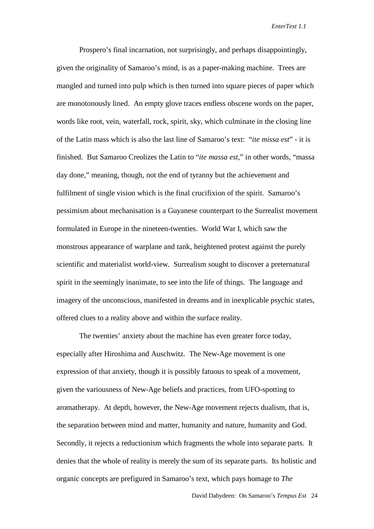Prospero's final incarnation, not surprisingly, and perhaps disappointingly, given the originality of Samaroo's mind, is as a paper-making machine. Trees are mangled and turned into pulp which is then turned into square pieces of paper which are monotonously lined. An empty glove traces endless obscene words on the paper, words like root, vein, waterfall, rock, spirit, sky, which culminate in the closing line of the Latin mass which is also the last line of Samaroo's text: "*ite missa est*" - it is finished. But Samaroo Creolizes the Latin to "*ite massa est,*" in other words, "massa day done," meaning, though, not the end of tyranny but the achievement and fulfilment of single vision which is the final crucifixion of the spirit. Samaroo's pessimism about mechanisation is a Guyanese counterpart to the Surrealist movement formulated in Europe in the nineteen-twenties. World War I, which saw the monstrous appearance of warplane and tank, heightened protest against the purely scientific and materialist world-view. Surrealism sought to discover a preternatural spirit in the seemingly inanimate, to see into the life of things. The language and imagery of the unconscious, manifested in dreams and in inexplicable psychic states, offered clues to a reality above and within the surface reality.

The twenties' anxiety about the machine has even greater force today, especially after Hiroshima and Auschwitz. The New-Age movement is one expression of that anxiety, though it is possibly fatuous to speak of a movement, given the variousness of New-Age beliefs and practices, from UFO-spotting to aromatherapy. At depth, however, the New-Age movement rejects dualism, that is, the separation between mind and matter, humanity and nature, humanity and God. Secondly, it rejects a reductionism which fragments the whole into separate parts. It denies that the whole of reality is merely the sum of its separate parts. Its holistic and organic concepts are prefigured in Samaroo's text, which pays homage to *The*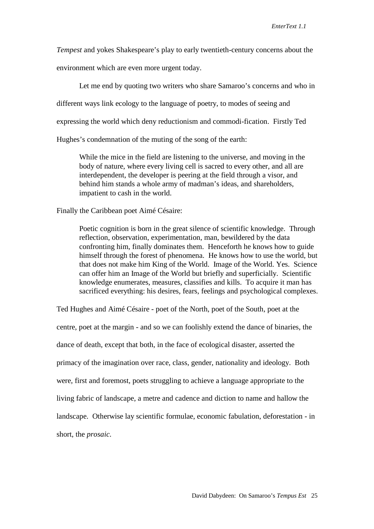*Tempest* and yokes Shakespeare's play to early twentieth-century concerns about the

environment which are even more urgent today.

Let me end by quoting two writers who share Samaroo's concerns and who in different ways link ecology to the language of poetry, to modes of seeing and expressing the world which deny reductionism and commodi-fication. Firstly Ted Hughes's condemnation of the muting of the song of the earth:

While the mice in the field are listening to the universe, and moving in the body of nature, where every living cell is sacred to every other, and all are interdependent, the developer is peering at the field through a visor, and behind him stands a whole army of madman's ideas, and shareholders, impatient to cash in the world.

Finally the Caribbean poet Aimé Césaire:

Poetic cognition is born in the great silence of scientific knowledge. Through reflection, observation, experimentation, man, bewildered by the data confronting him, finally dominates them. Henceforth he knows how to guide himself through the forest of phenomena. He knows how to use the world, but that does not make him King of the World. Image of the World. Yes. Science can offer him an Image of the World but briefly and superficially. Scientific knowledge enumerates, measures, classifies and kills. To acquire it man has sacrificed everything: his desires, fears, feelings and psychological complexes.

Ted Hughes and Aimé Césaire - poet of the North, poet of the South, poet at the centre, poet at the margin - and so we can foolishly extend the dance of binaries, the dance of death, except that both, in the face of ecological disaster, asserted the primacy of the imagination over race, class, gender, nationality and ideology. Both were, first and foremost, poets struggling to achieve a language appropriate to the living fabric of landscape, a metre and cadence and diction to name and hallow the landscape. Otherwise lay scientific formulae, economic fabulation, deforestation - in short, the *prosaic.*